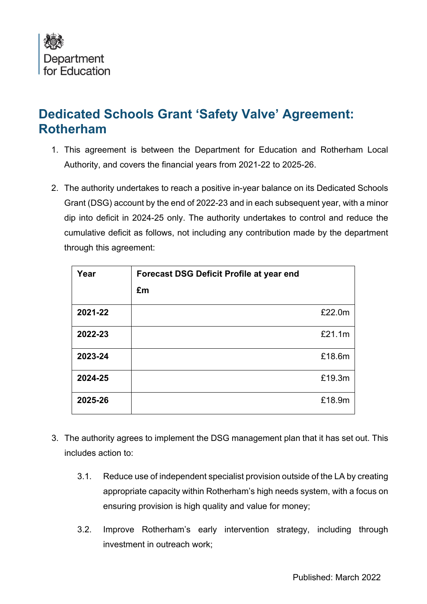

## **Dedicated Schools Grant 'Safety Valve' Agreement: Rotherham**

- 1. This agreement is between the Department for Education and Rotherham Local Authority, and covers the financial years from 2021-22 to 2025-26.
- 2. The authority undertakes to reach a positive in-year balance on its Dedicated Schools Grant (DSG) account by the end of 2022-23 and in each subsequent year, with a minor dip into deficit in 2024-25 only. The authority undertakes to control and reduce the cumulative deficit as follows, not including any contribution made by the department through this agreement:

| Year    | <b>Forecast DSG Deficit Profile at year end</b><br>£m |        |
|---------|-------------------------------------------------------|--------|
| 2021-22 |                                                       | £22.0m |
| 2022-23 |                                                       | £21.1m |
| 2023-24 |                                                       | £18.6m |
| 2024-25 |                                                       | £19.3m |
| 2025-26 |                                                       | £18.9m |

- 3. The authority agrees to implement the DSG management plan that it has set out. This includes action to:
	- 3.1. Reduce use of independent specialist provision outside of the LA by creating appropriate capacity within Rotherham's high needs system, with a focus on ensuring provision is high quality and value for money;
	- 3.2. Improve Rotherham's early intervention strategy, including through investment in outreach work;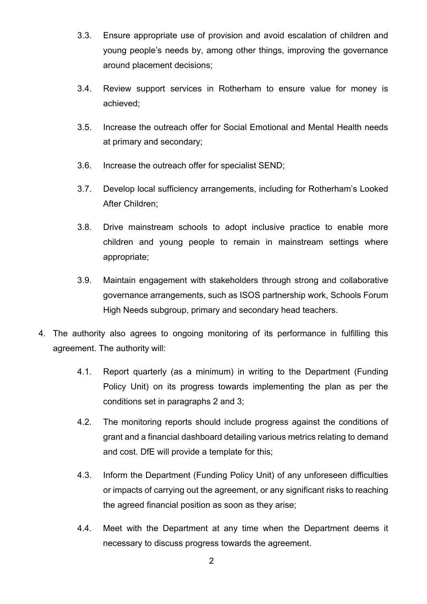- 3.3. Ensure appropriate use of provision and avoid escalation of children and young people's needs by, among other things, improving the governance around placement decisions;
- 3.4. Review support services in Rotherham to ensure value for money is achieved;
- 3.5. Increase the outreach offer for Social Emotional and Mental Health needs at primary and secondary;
- 3.6. Increase the outreach offer for specialist SEND;
- 3.7. Develop local sufficiency arrangements, including for Rotherham's Looked After Children;
- 3.8. Drive mainstream schools to adopt inclusive practice to enable more children and young people to remain in mainstream settings where appropriate;
- 3.9. Maintain engagement with stakeholders through strong and collaborative governance arrangements, such as ISOS partnership work, Schools Forum High Needs subgroup, primary and secondary head teachers.
- 4. The authority also agrees to ongoing monitoring of its performance in fulfilling this agreement. The authority will:
	- 4.1. Report quarterly (as a minimum) in writing to the Department (Funding Policy Unit) on its progress towards implementing the plan as per the conditions set in paragraphs 2 and 3;
	- 4.2. The monitoring reports should include progress against the conditions of grant and a financial dashboard detailing various metrics relating to demand and cost. DfE will provide a template for this;
	- 4.3. Inform the Department (Funding Policy Unit) of any unforeseen difficulties or impacts of carrying out the agreement, or any significant risks to reaching the agreed financial position as soon as they arise;
	- 4.4. Meet with the Department at any time when the Department deems it necessary to discuss progress towards the agreement.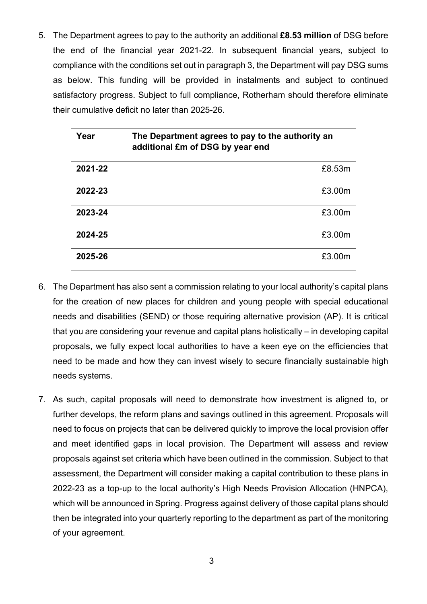5. The Department agrees to pay to the authority an additional **£8.53 million** of DSG before the end of the financial year 2021-22. In subsequent financial years, subject to compliance with the conditions set out in paragraph 3, the Department will pay DSG sums as below. This funding will be provided in instalments and subject to continued satisfactory progress. Subject to full compliance, Rotherham should therefore eliminate their cumulative deficit no later than 2025-26.

| Year    | The Department agrees to pay to the authority an<br>additional £m of DSG by year end |  |
|---------|--------------------------------------------------------------------------------------|--|
| 2021-22 | £8.53m                                                                               |  |
| 2022-23 | £3.00m                                                                               |  |
| 2023-24 | £3.00m                                                                               |  |
| 2024-25 | £3.00m                                                                               |  |
| 2025-26 | £3.00m                                                                               |  |

- 6. The Department has also sent a commission relating to your local authority's capital plans for the creation of new places for children and young people with special educational needs and disabilities (SEND) or those requiring alternative provision (AP). It is critical that you are considering your revenue and capital plans holistically – in developing capital proposals, we fully expect local authorities to have a keen eye on the efficiencies that need to be made and how they can invest wisely to secure financially sustainable high needs systems.
- 7. As such, capital proposals will need to demonstrate how investment is aligned to, or further develops, the reform plans and savings outlined in this agreement. Proposals will need to focus on projects that can be delivered quickly to improve the local provision offer and meet identified gaps in local provision. The Department will assess and review proposals against set criteria which have been outlined in the commission. Subject to that assessment, the Department will consider making a capital contribution to these plans in 2022-23 as a top-up to the local authority's High Needs Provision Allocation (HNPCA), which will be announced in Spring. Progress against delivery of those capital plans should then be integrated into your quarterly reporting to the department as part of the monitoring of your agreement.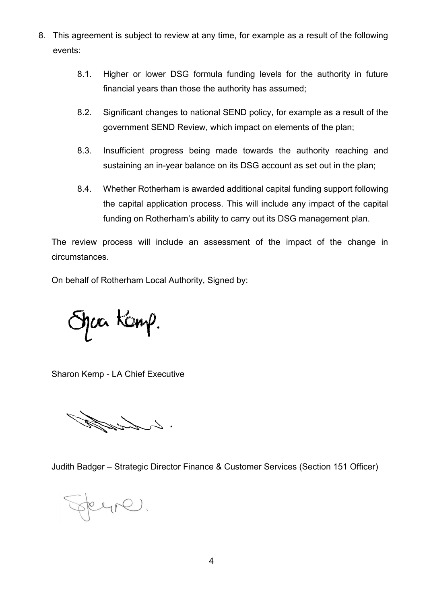- 8. This agreement is subject to review at any time, for example as a result of the following events:
	- 8.1. Higher or lower DSG formula funding levels for the authority in future financial years than those the authority has assumed;
	- 8.2. Significant changes to national SEND policy, for example as a result of the government SEND Review, which impact on elements of the plan;
	- 8.3. Insufficient progress being made towards the authority reaching and sustaining an in-year balance on its DSG account as set out in the plan;
	- 8.4. Whether Rotherham is awarded additional capital funding support following the capital application process. This will include any impact of the capital funding on Rotherham's ability to carry out its DSG management plan.

The review process will include an assessment of the impact of the change in circumstances.

On behalf of Rotherham Local Authority, Signed by:

haa Kanp.

Sharon Kemp - LA Chief Executive

: l List J

Judith Badger – Strategic Director Finance & Customer Services (Section 151 Officer)

seyre.